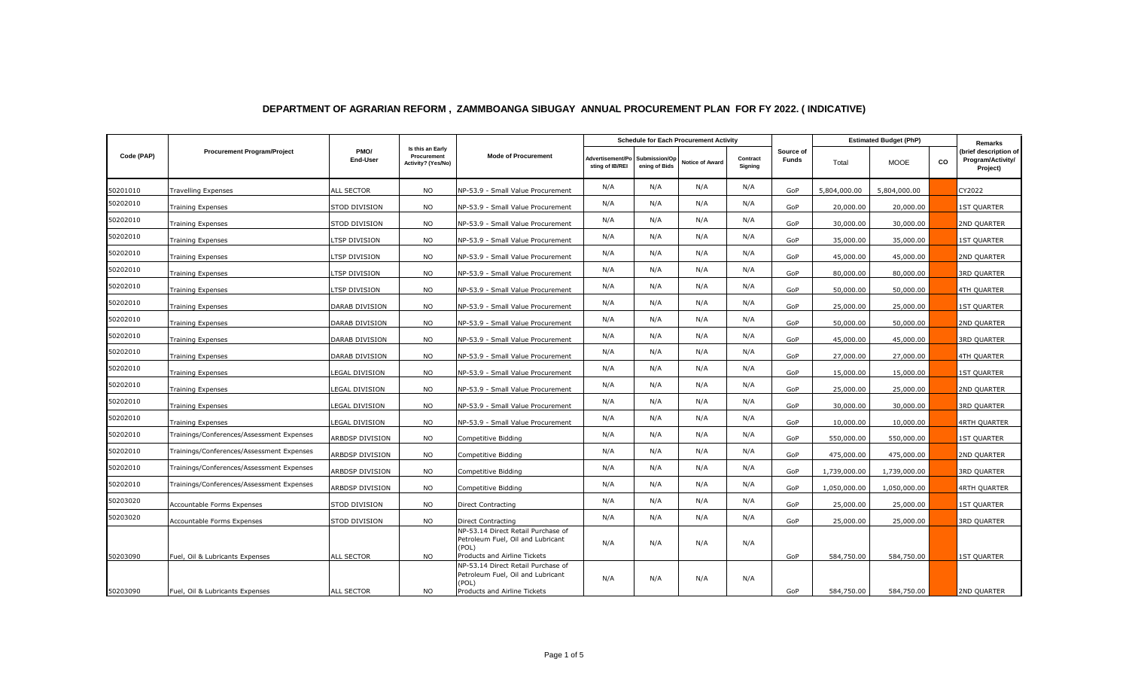|            |                                           | PMO/<br>End-User      | Is this an Early<br>Procurement<br>Activity? (Yes/No) | <b>Mode of Procurement</b>                                                                                       | <b>Schedule for Each Procurement Activity</b> |                                |                        |                     |                           | <b>Estimated Budget (PhP)</b> |              |    | Remarks                                                |
|------------|-------------------------------------------|-----------------------|-------------------------------------------------------|------------------------------------------------------------------------------------------------------------------|-----------------------------------------------|--------------------------------|------------------------|---------------------|---------------------------|-------------------------------|--------------|----|--------------------------------------------------------|
| Code (PAP) | <b>Procurement Program/Project</b>        |                       |                                                       |                                                                                                                  | Advertisement/Po<br>sting of IB/REI           | Submission/Op<br>ening of Bids | <b>Notice of Award</b> | Contract<br>Signing | Source of<br><b>Funds</b> | Total                         | <b>MOOE</b>  | CO | (brief description of<br>Program/Activity/<br>Project) |
| 50201010   | <b>Travelling Expenses</b>                | <b>ALL SECTOR</b>     | <b>NO</b>                                             | NP-53.9 - Small Value Procurement                                                                                | N/A                                           | N/A                            | N/A                    | N/A                 | GoP                       | 5,804,000.00                  | 5,804,000.00 |    | CY2022                                                 |
| 50202010   | <b>Training Expenses</b>                  | STOD DIVISION         | <b>NO</b>                                             | NP-53.9 - Small Value Procurement                                                                                | N/A                                           | N/A                            | N/A                    | N/A                 | GoP                       | 20,000.00                     | 20,000.00    |    | <b>1ST QUARTER</b>                                     |
| 50202010   | Training Expenses                         | STOD DIVISION         | <b>NO</b>                                             | NP-53.9 - Small Value Procurement                                                                                | N/A                                           | N/A                            | N/A                    | N/A                 | GoP                       | 30,000.00                     | 30,000.00    |    | 2ND QUARTER                                            |
| 50202010   | <b>Training Expenses</b>                  | LTSP DIVISION         | <b>NO</b>                                             | NP-53.9 - Small Value Procurement                                                                                | N/A                                           | N/A                            | N/A                    | N/A                 | GoP                       | 35,000.00                     | 35,000.00    |    | <b>IST QUARTER</b>                                     |
| 50202010   | <b>Training Expenses</b>                  | LTSP DIVISION         | <b>NO</b>                                             | NP-53.9 - Small Value Procurement                                                                                | N/A                                           | N/A                            | N/A                    | N/A                 | GoP                       | 45,000.00                     | 45,000.00    |    | 2ND QUARTER                                            |
| 50202010   | Training Expenses                         | LTSP DIVISION         | <b>NO</b>                                             | NP-53.9 - Small Value Procurement                                                                                | N/A                                           | N/A                            | N/A                    | N/A                 | GoP                       | 80,000.00                     | 80,000.00    |    | <b>3RD QUARTER</b>                                     |
| 50202010   | <b>Training Expenses</b>                  | LTSP DIVISION         | <b>NO</b>                                             | NP-53.9 - Small Value Procurement                                                                                | N/A                                           | N/A                            | N/A                    | N/A                 | GoP                       | 50,000.00                     | 50,000.00    |    | <b>4TH QUARTER</b>                                     |
| 50202010   | <b>Training Expenses</b>                  | DARAB DIVISION        | <b>NO</b>                                             | NP-53.9 - Small Value Procurement                                                                                | N/A                                           | N/A                            | N/A                    | N/A                 | GoP                       | 25,000.00                     | 25,000.00    |    | <b>1ST QUARTER</b>                                     |
| 50202010   | <b>Training Expenses</b>                  | <b>DARAB DIVISION</b> | <b>NO</b>                                             | NP-53.9 - Small Value Procurement                                                                                | N/A                                           | N/A                            | N/A                    | N/A                 | GoP                       | 50,000.00                     | 50,000.00    |    | 2ND QUARTER                                            |
| 50202010   | <b>Training Expenses</b>                  | DARAB DIVISION        | <b>NO</b>                                             | NP-53.9 - Small Value Procurement                                                                                | N/A                                           | N/A                            | N/A                    | N/A                 | GoP                       | 45,000.00                     | 45,000.00    |    | <b>3RD QUARTER</b>                                     |
| 50202010   | Training Expenses                         | DARAB DIVISION        | <b>NO</b>                                             | NP-53.9 - Small Value Procurement                                                                                | N/A                                           | N/A                            | N/A                    | N/A                 | GoP                       | 27,000.00                     | 27,000.00    |    | <b>4TH QUARTER</b>                                     |
| 50202010   | <b>Training Expenses</b>                  | LEGAL DIVISION        | <b>NO</b>                                             | NP-53.9 - Small Value Procurement                                                                                | N/A                                           | N/A                            | N/A                    | N/A                 | GoP                       | 15,000.00                     | 15,000.00    |    | <b>IST QUARTER</b>                                     |
| 50202010   | <b>Training Expenses</b>                  | LEGAL DIVISION        | <b>NO</b>                                             | NP-53.9 - Small Value Procurement                                                                                | N/A                                           | N/A                            | N/A                    | N/A                 | GoP                       | 25,000.00                     | 25,000.00    |    | 2ND QUARTER                                            |
| 50202010   | <b>Training Expenses</b>                  | LEGAL DIVISION        | <b>NO</b>                                             | NP-53.9 - Small Value Procurement                                                                                | N/A                                           | N/A                            | N/A                    | N/A                 | GoP                       | 30,000.00                     | 30,000.00    |    | 3RD QUARTER                                            |
| 50202010   | <b>Training Expenses</b>                  | LEGAL DIVISION        | <b>NO</b>                                             | NP-53.9 - Small Value Procurement                                                                                | N/A                                           | N/A                            | N/A                    | N/A                 | GoP                       | 10,000.00                     | 10,000.00    |    | <b>4RTH QUARTER</b>                                    |
| 50202010   | Trainings/Conferences/Assessment Expenses | ARBDSP DIVISION       | <b>NO</b>                                             | Competitive Bidding                                                                                              | N/A                                           | N/A                            | N/A                    | N/A                 | GoP                       | 550,000.00                    | 550,000.00   |    | <b>1ST QUARTER</b>                                     |
| 50202010   | Trainings/Conferences/Assessment Expenses | ARBDSP DIVISION       | <b>NO</b>                                             | Competitive Bidding                                                                                              | N/A                                           | N/A                            | N/A                    | N/A                 | GoP                       | 475,000.00                    | 475,000.00   |    | 2ND QUARTER                                            |
| 50202010   | Trainings/Conferences/Assessment Expenses | ARBDSP DIVISION       | <b>NO</b>                                             | Competitive Bidding                                                                                              | N/A                                           | N/A                            | N/A                    | N/A                 | GoP                       | 1,739,000.00                  | 1,739,000.00 |    | <b>3RD QUARTER</b>                                     |
| 50202010   | Trainings/Conferences/Assessment Expenses | ARBDSP DIVISION       | <b>NO</b>                                             | Competitive Bidding                                                                                              | N/A                                           | N/A                            | N/A                    | N/A                 | GoP                       | 1,050,000.00                  | 1,050,000.00 |    | <b>4RTH QUARTER</b>                                    |
| 50203020   | Accountable Forms Expenses                | STOD DIVISION         | <b>NO</b>                                             | Direct Contracting                                                                                               | N/A                                           | N/A                            | N/A                    | N/A                 | GoP                       | 25,000.00                     | 25,000.00    |    | <b>1ST QUARTER</b>                                     |
| 50203020   | Accountable Forms Expenses                | STOD DIVISION         | <b>NO</b>                                             | Direct Contracting                                                                                               | N/A                                           | N/A                            | N/A                    | N/A                 | GoP                       | 25,000.00                     | 25,000.00    |    | 3RD QUARTER                                            |
| 50203090   | Fuel, Oil & Lubricants Expenses           | ALL SECTOR            | <b>NO</b>                                             | NP-53.14 Direct Retail Purchase of<br>Petroleum Fuel, Oil and Lubricant<br>(POL)<br>Products and Airline Tickets | N/A                                           | N/A                            | N/A                    | N/A                 | GoP                       | 584,750.00                    | 584,750.00   |    | <b>IST QUARTER</b>                                     |
| 50203090   | Fuel, Oil & Lubricants Expenses           | ALL SECTOR            | <b>NO</b>                                             | NP-53.14 Direct Retail Purchase of<br>Petroleum Fuel, Oil and Lubricant<br>(POL)<br>Products and Airline Tickets | N/A                                           | N/A                            | N/A                    | N/A                 | GoP                       | 584,750.00                    | 584,750.00   |    | 2ND QUARTER                                            |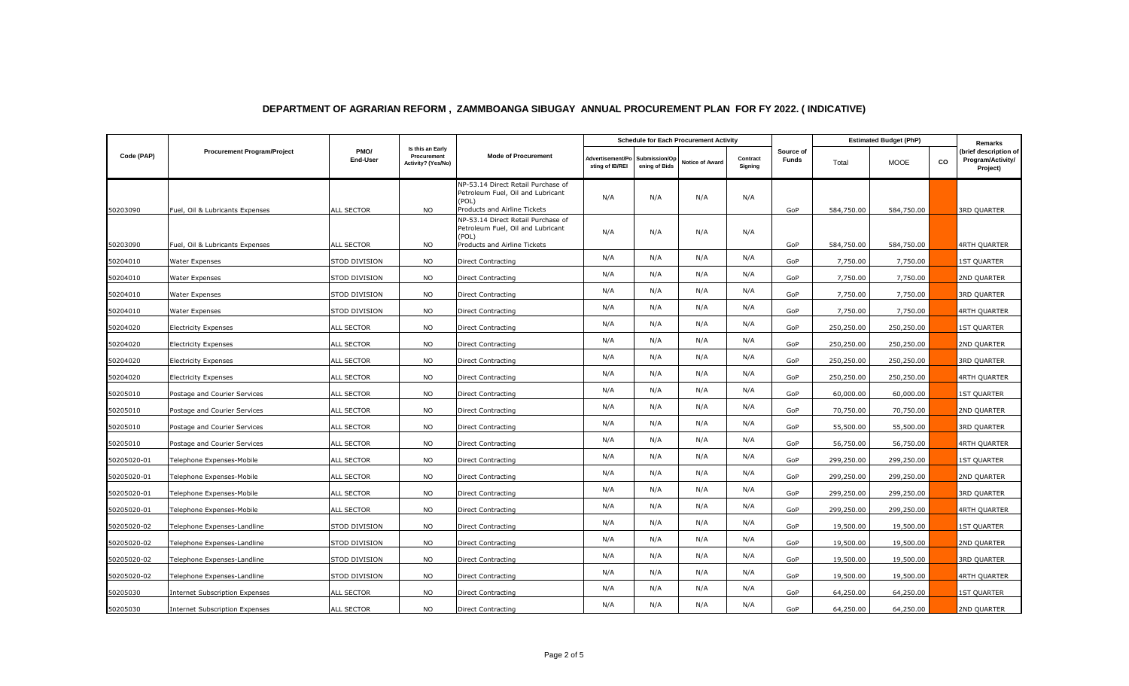|             | <b>Procurement Program/Project</b> | PMO/<br><b>End-User</b> | Is this an Early<br>Procurement<br>Activity? (Yes/No) | <b>Mode of Procurement</b>                                                       | <b>Schedule for Each Procurement Activity</b> |                                |                        |                     |                    | <b>Estimated Budget (PhP)</b> |             |    | Remarks                                                |
|-------------|------------------------------------|-------------------------|-------------------------------------------------------|----------------------------------------------------------------------------------|-----------------------------------------------|--------------------------------|------------------------|---------------------|--------------------|-------------------------------|-------------|----|--------------------------------------------------------|
| Code (PAP)  |                                    |                         |                                                       |                                                                                  | <b>Advertisement/Po</b><br>sting of IB/REI    | Submission/Op<br>ening of Bids | <b>Notice of Award</b> | Contract<br>Signing | Source of<br>Funds | Total                         | <b>MOOE</b> | CO | (brief description of<br>Program/Activity/<br>Project) |
|             |                                    |                         |                                                       | NP-53.14 Direct Retail Purchase of<br>Petroleum Fuel, Oil and Lubricant<br>(POL) | N/A                                           | N/A                            | N/A                    | N/A                 |                    |                               |             |    |                                                        |
| 50203090    | Fuel, Oil & Lubricants Expenses    | <b>ALL SECTOR</b>       | <b>NO</b>                                             | Products and Airline Tickets<br>NP-53.14 Direct Retail Purchase of               |                                               |                                |                        |                     | GoP                | 584,750.00                    | 584,750.00  |    | <b>3RD QUARTER</b>                                     |
|             |                                    |                         |                                                       | Petroleum Fuel, Oil and Lubricant<br>(POL)                                       | N/A                                           | N/A                            | N/A                    | N/A                 |                    |                               |             |    |                                                        |
| 50203090    | Fuel, Oil & Lubricants Expenses    | ALL SECTOR              | <b>NO</b>                                             | Products and Airline Tickets                                                     |                                               |                                |                        |                     | GoP                | 584,750.00                    | 584,750.00  |    | 4RTH QUARTER                                           |
| 50204010    | Water Expenses                     | STOD DIVISION           | <b>NO</b>                                             | Direct Contracting                                                               | N/A                                           | N/A                            | N/A                    | N/A                 | GoP                | 7,750.00                      | 7,750.00    |    | <b>1ST QUARTER</b>                                     |
| 50204010    | Water Expenses                     | STOD DIVISION           | <b>NO</b>                                             | Direct Contracting                                                               | N/A                                           | N/A                            | N/A                    | N/A                 | GoP                | 7,750.00                      | 7,750.00    |    | 2ND QUARTER                                            |
| 50204010    | Water Expenses                     | STOD DIVISION           | <b>NO</b>                                             | Direct Contracting                                                               | N/A                                           | N/A                            | N/A                    | N/A                 | GoP                | 7,750.00                      | 7,750.00    |    | 3RD QUARTER                                            |
| 50204010    | Water Expenses                     | STOD DIVISION           | <b>NO</b>                                             | Direct Contracting                                                               | N/A                                           | N/A                            | N/A                    | N/A                 | GoP                | 7,750.00                      | 7,750.00    |    | <b>4RTH QUARTER</b>                                    |
| 50204020    | <b>Electricity Expenses</b>        | <b>ALL SECTOR</b>       | <b>NO</b>                                             | Direct Contracting                                                               | N/A                                           | N/A                            | N/A                    | N/A                 | GoP                | 250,250.00                    | 250,250.00  |    | <b>1ST QUARTER</b>                                     |
| 50204020    | <b>Electricity Expenses</b>        | <b>ALL SECTOR</b>       | <b>NO</b>                                             | Direct Contracting                                                               | N/A                                           | N/A                            | N/A                    | N/A                 | GoP                | 250,250.00                    | 250,250.00  |    | 2ND QUARTER                                            |
| 50204020    | <b>Electricity Expenses</b>        | <b>ALL SECTOR</b>       | <b>NO</b>                                             | Direct Contracting                                                               | N/A                                           | N/A                            | N/A                    | N/A                 | GoP                | 250,250.00                    | 250,250.00  |    | <b>3RD QUARTER</b>                                     |
| 50204020    | <b>Electricity Expenses</b>        | ALL SECTOR              | <b>NO</b>                                             | Direct Contracting                                                               | N/A                                           | N/A                            | N/A                    | N/A                 | GoP                | 250,250.00                    | 250,250.00  |    | 4RTH QUARTER                                           |
| 50205010    | Postage and Courier Services       | ALL SECTOR              | <b>NO</b>                                             | Direct Contracting                                                               | N/A                                           | N/A                            | N/A                    | N/A                 | GoP                | 60,000.00                     | 60,000.00   |    | <b>1ST QUARTER</b>                                     |
| 50205010    | Postage and Courier Services       | ALL SECTOR              | <b>NO</b>                                             | Direct Contracting                                                               | N/A                                           | N/A                            | N/A                    | N/A                 | GoP                | 70,750.00                     | 70,750.00   |    | 2ND QUARTER                                            |
| 50205010    | Postage and Courier Services       | ALL SECTOR              | <b>NO</b>                                             | <b>Direct Contracting</b>                                                        | N/A                                           | N/A                            | N/A                    | N/A                 | GoP                | 55,500.00                     | 55,500.00   |    | 3RD QUARTER                                            |
| 50205010    | Postage and Courier Services       | <b>ALL SECTOR</b>       | <b>NO</b>                                             | Direct Contracting                                                               | N/A                                           | N/A                            | N/A                    | N/A                 | GoP                | 56,750.00                     | 56,750.00   |    | 4RTH QUARTER                                           |
| 50205020-01 | Telephone Expenses-Mobile          | <b>ALL SECTOR</b>       | <b>NO</b>                                             | Direct Contracting                                                               | N/A                                           | N/A                            | N/A                    | N/A                 | GoP                | 299,250.00                    | 299,250.00  |    | <b>1ST QUARTER</b>                                     |
| 50205020-01 | Telephone Expenses-Mobile          | ALL SECTOR              | <b>NO</b>                                             | Direct Contracting                                                               | N/A                                           | N/A                            | N/A                    | N/A                 | GoP                | 299,250.00                    | 299,250.00  |    | 2ND QUARTER                                            |
| 50205020-01 | Telephone Expenses-Mobile          | <b>ALL SECTOR</b>       | <b>NO</b>                                             | Direct Contracting                                                               | N/A                                           | N/A                            | N/A                    | N/A                 | GoP                | 299,250.00                    | 299,250.00  |    | 3RD QUARTER                                            |
| 50205020-01 | Telephone Expenses-Mobile          | <b>ALL SECTOR</b>       | <b>NO</b>                                             | Direct Contracting                                                               | N/A                                           | N/A                            | N/A                    | N/A                 | GoP                | 299,250.00                    | 299,250.00  |    | 4RTH QUARTER                                           |
| 50205020-02 | Telephone Expenses-Landline        | STOD DIVISION           | <b>NO</b>                                             | Direct Contracting                                                               | N/A                                           | N/A                            | N/A                    | N/A                 | GoP                | 19,500.00                     | 19,500.00   |    | <b>1ST QUARTER</b>                                     |
| 50205020-02 | Telephone Expenses-Landline        | STOD DIVISION           | <b>NO</b>                                             | Direct Contracting                                                               | N/A                                           | N/A                            | N/A                    | N/A                 | GoP                | 19,500.00                     | 19,500.00   |    | 2ND QUARTER                                            |
| 50205020-02 | Telephone Expenses-Landline        | STOD DIVISION           | <b>NO</b>                                             | Direct Contracting                                                               | N/A                                           | N/A                            | N/A                    | N/A                 | GoP                | 19,500.00                     | 19,500.00   |    | <b>3RD QUARTER</b>                                     |
| 50205020-02 | Telephone Expenses-Landline        | STOD DIVISION           | <b>NO</b>                                             | Direct Contracting                                                               | N/A                                           | N/A                            | N/A                    | N/A                 | GoP                | 19,500.00                     | 19,500.00   |    | 4RTH QUARTER                                           |
| 50205030    | Internet Subscription Expenses     | ALL SECTOR              | <b>NO</b>                                             | Direct Contracting                                                               | N/A                                           | N/A                            | N/A                    | N/A                 | GoP                | 64,250.00                     | 64,250.00   |    | <b>1ST QUARTER</b>                                     |
| 50205030    | Internet Subscription Expenses     | ALL SECTOR              | <b>NO</b>                                             | Direct Contracting                                                               | N/A                                           | N/A                            | N/A                    | N/A                 | GoP                | 64,250.00                     | 64,250.00   |    | 2ND QUARTER                                            |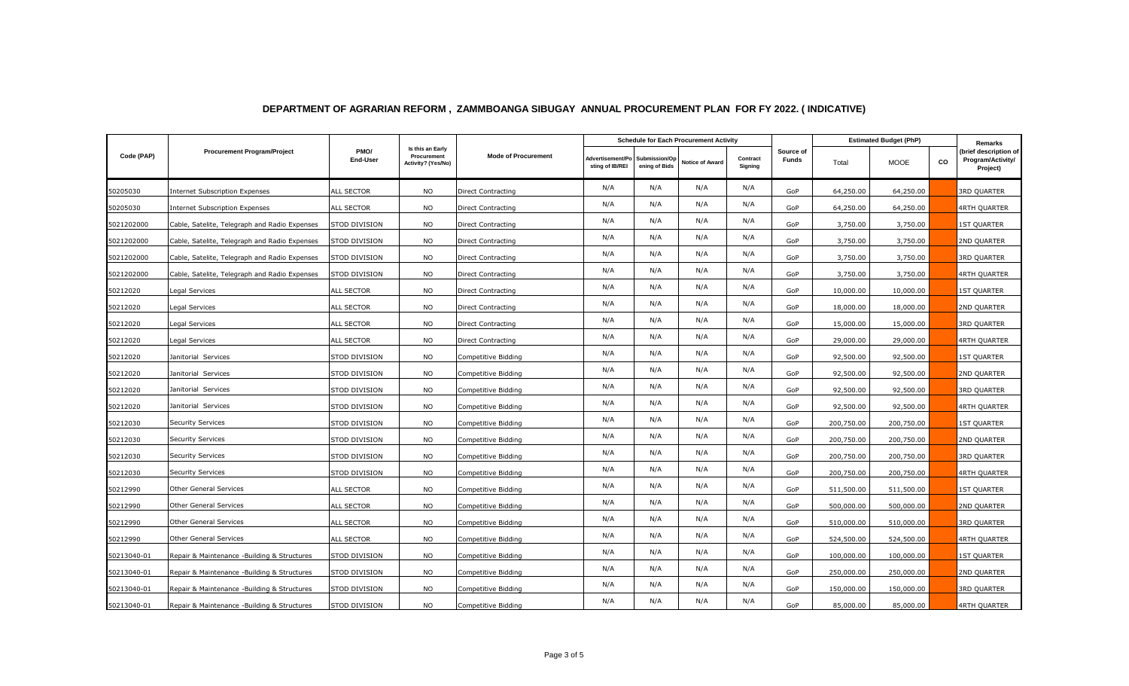|             | <b>Procurement Program/Project</b>            | PMO/<br>End-User  | Is this an Early<br>Procurement<br>Activity? (Yes/No) | <b>Mode of Procurement</b> | <b>Schedule for Each Procurement Activity</b> |                                |                        |                     |                           | <b>Estimated Budget (PhP)</b> |             |    | Remarks                                                |
|-------------|-----------------------------------------------|-------------------|-------------------------------------------------------|----------------------------|-----------------------------------------------|--------------------------------|------------------------|---------------------|---------------------------|-------------------------------|-------------|----|--------------------------------------------------------|
| Code (PAP)  |                                               |                   |                                                       |                            | Advertisement/Po<br>sting of IB/REI           | Submission/Op<br>ening of Bids | <b>Notice of Award</b> | Contract<br>Signing | Source of<br><b>Funds</b> | Total                         | <b>MOOE</b> | CO | (brief description of<br>Program/Activity/<br>Project) |
| 50205030    | <b>Internet Subscription Expenses</b>         | ALL SECTOR        | <b>NO</b>                                             | Direct Contracting         | N/A                                           | N/A                            | N/A                    | N/A                 | GoP                       | 64,250.00                     | 64,250.00   |    | <b>3RD QUARTER</b>                                     |
| 50205030    | <b>Internet Subscription Expenses</b>         | ALL SECTOR        | <b>NO</b>                                             | <b>Direct Contracting</b>  | N/A                                           | N/A                            | N/A                    | N/A                 | GoP                       | 64,250.00                     | 64,250.00   |    | 4RTH QUARTER                                           |
| 5021202000  | Cable, Satelite, Telegraph and Radio Expenses | STOD DIVISION     | <b>NO</b>                                             | Direct Contracting         | N/A                                           | N/A                            | N/A                    | N/A                 | GoP                       | 3,750.00                      | 3,750.00    |    | <b>1ST QUARTER</b>                                     |
| 5021202000  | Cable, Satelite, Telegraph and Radio Expenses | STOD DIVISION     | <b>NO</b>                                             | Direct Contracting         | N/A                                           | N/A                            | N/A                    | N/A                 | GoP                       | 3,750.00                      | 3,750.00    |    | 2ND QUARTER                                            |
| 5021202000  | Cable, Satelite, Telegraph and Radio Expenses | STOD DIVISION     | <b>NO</b>                                             | Direct Contracting         | N/A                                           | N/A                            | N/A                    | N/A                 | GoP                       | 3,750.00                      | 3,750.00    |    | 3RD QUARTER                                            |
| 5021202000  | Cable, Satelite, Telegraph and Radio Expenses | STOD DIVISION     | <b>NO</b>                                             | Direct Contracting         | N/A                                           | N/A                            | N/A                    | N/A                 | GoP                       | 3,750.00                      | 3,750.00    |    | 4RTH QUARTER                                           |
| 50212020    | Legal Services                                | ALL SECTOR        | <b>NO</b>                                             | Direct Contracting         | N/A                                           | N/A                            | N/A                    | N/A                 | GoP                       | 10,000.00                     | 10,000.00   |    | <b>1ST QUARTER</b>                                     |
| 50212020    | Legal Services                                | ALL SECTOR        | <b>NO</b>                                             | Direct Contracting         | N/A                                           | N/A                            | N/A                    | N/A                 | GoP                       | 18,000.00                     | 18,000.00   |    | 2ND QUARTER                                            |
| 50212020    | Legal Services                                | ALL SECTOR        | <b>NO</b>                                             | Direct Contracting         | N/A                                           | N/A                            | N/A                    | N/A                 | GoP                       | 15,000.00                     | 15,000.00   |    | <b>3RD QUARTER</b>                                     |
| 50212020    | Legal Services                                | ALL SECTOR        | <b>NO</b>                                             | Direct Contracting         | N/A                                           | N/A                            | N/A                    | N/A                 | GoP                       | 29,000.00                     | 29,000.00   |    | 4RTH QUARTER                                           |
| 50212020    | Janitorial Services                           | STOD DIVISION     | <b>NO</b>                                             | Competitive Bidding        | N/A                                           | N/A                            | N/A                    | N/A                 | GoP                       | 92,500.00                     | 92,500.00   |    | <b>1ST QUARTER</b>                                     |
| 50212020    | Janitorial Services                           | STOD DIVISION     | <b>NO</b>                                             | Competitive Bidding        | N/A                                           | N/A                            | N/A                    | N/A                 | GoP                       | 92,500.00                     | 92,500.00   |    | 2ND QUARTER                                            |
| 50212020    | Janitorial Services                           | STOD DIVISION     | <b>NO</b>                                             | Competitive Bidding        | N/A                                           | N/A                            | N/A                    | N/A                 | GoP                       | 92,500.00                     | 92,500.00   |    | <b>3RD QUARTER</b>                                     |
| 50212020    | Janitorial Services                           | STOD DIVISION     | <b>NO</b>                                             | Competitive Bidding        | N/A                                           | N/A                            | N/A                    | N/A                 | GoP                       | 92,500.00                     | 92,500.00   |    | <b>4RTH QUARTER</b>                                    |
| 50212030    | <b>Security Services</b>                      | STOD DIVISION     | <b>NO</b>                                             | Competitive Bidding        | N/A                                           | N/A                            | N/A                    | N/A                 | GoP                       | 200,750.00                    | 200,750.00  |    | <b>1ST QUARTER</b>                                     |
| 50212030    | <b>Security Services</b>                      | STOD DIVISION     | <b>NO</b>                                             | Competitive Bidding        | N/A                                           | N/A                            | N/A                    | N/A                 | GoP                       | 200,750.00                    | 200,750.00  |    | 2ND QUARTER                                            |
| 50212030    | Security Services                             | STOD DIVISION     | <b>NO</b>                                             | Competitive Bidding        | N/A                                           | N/A                            | N/A                    | N/A                 | GoP                       | 200,750.00                    | 200,750.00  |    | <b>3RD QUARTER</b>                                     |
| 50212030    | Security Services                             | STOD DIVISION     | <b>NO</b>                                             | Competitive Bidding        | N/A                                           | N/A                            | N/A                    | N/A                 | GoP                       | 200,750.00                    | 200,750.00  |    | 4RTH QUARTER                                           |
| 50212990    | <b>Other General Services</b>                 | <b>ALL SECTOR</b> | <b>NO</b>                                             | Competitive Bidding        | N/A                                           | N/A                            | N/A                    | N/A                 | GoP                       | 511,500.00                    | 511,500.00  |    | <b>1ST QUARTER</b>                                     |
| 50212990    | Other General Services                        | ALL SECTOR        | <b>NO</b>                                             | Competitive Bidding        | N/A                                           | N/A                            | N/A                    | N/A                 | GoP                       | 500,000.00                    | 500,000.00  |    | 2ND QUARTER                                            |
| 50212990    | Other General Services                        | ALL SECTOR        | <b>NO</b>                                             | Competitive Bidding        | N/A                                           | N/A                            | N/A                    | N/A                 | GoP                       | 510,000.00                    | 510,000.00  |    | <b>3RD QUARTER</b>                                     |
| 50212990    | Other General Services                        | ALL SECTOR        | <b>NO</b>                                             | Competitive Bidding        | N/A                                           | N/A                            | N/A                    | N/A                 | GoP                       | 524,500.00                    | 524,500.00  |    | 4RTH QUARTER                                           |
| 50213040-01 | Repair & Maintenance -Building & Structures   | STOD DIVISION     | <b>NO</b>                                             | Competitive Bidding        | N/A                                           | N/A                            | N/A                    | N/A                 | GoP                       | 100,000.00                    | 100,000.00  |    | 1ST QUARTER                                            |
| 50213040-01 | Repair & Maintenance -Building & Structures   | STOD DIVISION     | <b>NO</b>                                             | Competitive Bidding        | N/A                                           | N/A                            | N/A                    | N/A                 | GoP                       | 250,000.00                    | 250,000.00  |    | 2ND QUARTER                                            |
| 50213040-01 | Repair & Maintenance -Building & Structures   | STOD DIVISION     | <b>NO</b>                                             | Competitive Bidding        | N/A                                           | N/A                            | N/A                    | N/A                 | GoP                       | 150,000.00                    | 150,000.00  |    | 3RD QUARTER                                            |
| 50213040-01 | Repair & Maintenance -Building & Structures   | STOD DIVISION     | <b>NO</b>                                             | Competitive Bidding        | N/A                                           | N/A                            | N/A                    | N/A                 | GoP                       | 85,000.00                     | 85,000.00   |    | 4RTH QUARTER                                           |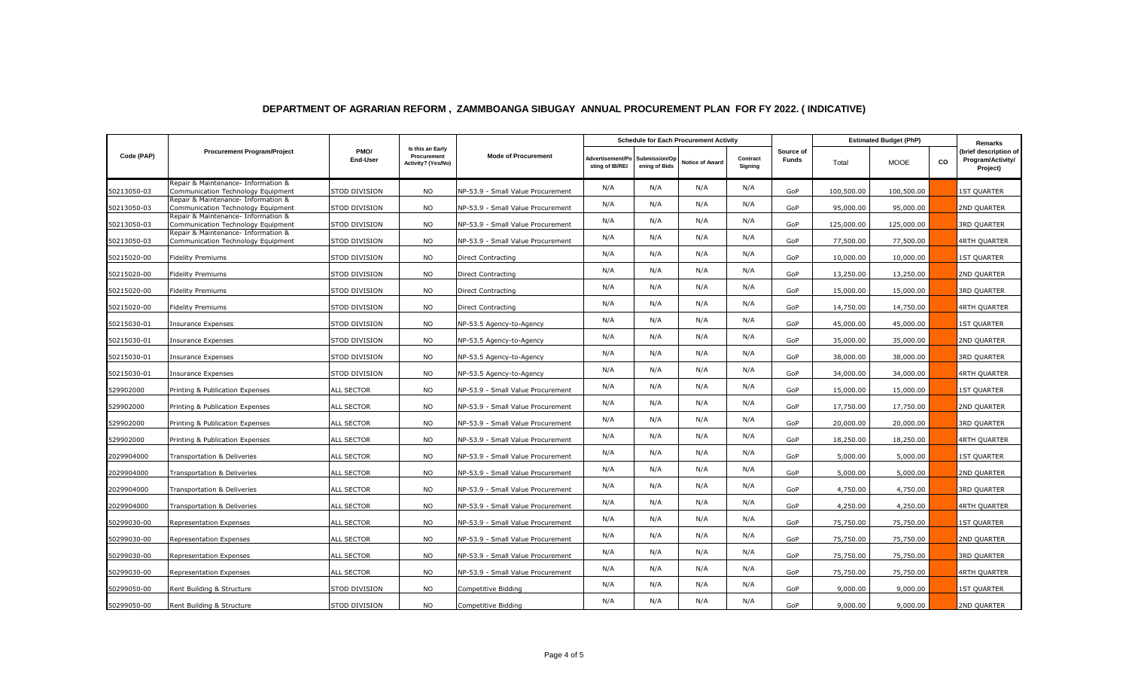|             | <b>Procurement Program/Project</b>                                        | PMO/<br><b>End-User</b> | Is this an Early<br>Procurement<br>Activity? (Yes/No) | <b>Mode of Procurement</b>        | <b>Schedule for Each Procurement Activity</b> |                                |                        |                     |                           | <b>Estimated Budget (PhP)</b> |             |           | Remarks                                                |
|-------------|---------------------------------------------------------------------------|-------------------------|-------------------------------------------------------|-----------------------------------|-----------------------------------------------|--------------------------------|------------------------|---------------------|---------------------------|-------------------------------|-------------|-----------|--------------------------------------------------------|
| Code (PAP)  |                                                                           |                         |                                                       |                                   | Advertisement/Po<br>sting of IB/REI           | Submission/Op<br>ening of Bids | <b>Notice of Award</b> | Contract<br>Signing | Source of<br><b>Funds</b> | Total                         | <b>MOOE</b> | <b>CO</b> | (brief description of<br>Program/Activity/<br>Project) |
| 50213050-03 | Repair & Maintenance- Information &<br>Communication Technology Equipment | STOD DIVISION           | <b>NO</b>                                             | NP-53.9 - Small Value Procurement | N/A                                           | N/A                            | N/A                    | N/A                 | GoP                       | 100,500.00                    | 100,500.00  |           | <b>1ST QUARTER</b>                                     |
| 50213050-03 | Repair & Maintenance- Information &<br>Communication Technology Equipment | STOD DIVISION           | <b>NO</b>                                             | NP-53.9 - Small Value Procurement | N/A                                           | N/A                            | N/A                    | N/A                 | GoP                       | 95,000.00                     | 95,000.00   |           | 2ND QUARTER                                            |
| 50213050-03 | Repair & Maintenance- Information &<br>Communication Technology Equipment | STOD DIVISION           | <b>NO</b>                                             | NP-53.9 - Small Value Procurement | N/A                                           | N/A                            | N/A                    | N/A                 | GoP                       | 125,000.00                    | 125,000.00  |           | 3RD QUARTER                                            |
| 50213050-03 | Repair & Maintenance- Information &<br>Communication Technology Equipment | STOD DIVISION           | <b>NO</b>                                             | NP-53.9 - Small Value Procurement | N/A                                           | N/A                            | N/A                    | N/A                 | GoP                       | 77,500.00                     | 77,500.00   |           | <b>4RTH QUARTER</b>                                    |
| 50215020-00 | <b>Fidelity Premiums</b>                                                  | STOD DIVISION           | <b>NO</b>                                             | Direct Contracting                | N/A                                           | N/A                            | N/A                    | N/A                 | GoP                       | 10,000.00                     | 10,000.00   |           | <b>1ST QUARTER</b>                                     |
| 50215020-00 | Fidelity Premiums                                                         | STOD DIVISION           | <b>NO</b>                                             | Direct Contracting                | N/A                                           | N/A                            | N/A                    | N/A                 | GoP                       | 13,250.00                     | 13,250.00   |           | 2ND QUARTER                                            |
| 50215020-00 | <b>Fidelity Premiums</b>                                                  | STOD DIVISION           | <b>NO</b>                                             | Direct Contracting                | N/A                                           | N/A                            | N/A                    | N/A                 | GoP                       | 15,000.00                     | 15,000.00   |           | <b>3RD QUARTER</b>                                     |
| 50215020-00 | Fidelity Premiums                                                         | STOD DIVISION           | <b>NO</b>                                             | Direct Contracting                | N/A                                           | N/A                            | N/A                    | N/A                 | GoP                       | 14,750.00                     | 14,750.00   |           | <b>4RTH QUARTER</b>                                    |
| 50215030-01 | Insurance Expenses                                                        | STOD DIVISION           | <b>NO</b>                                             | NP-53.5 Agency-to-Agency          | N/A                                           | N/A                            | N/A                    | N/A                 | GoP                       | 45,000.00                     | 45,000.00   |           | <b>1ST QUARTER</b>                                     |
| 50215030-01 | <b>Insurance Expenses</b>                                                 | STOD DIVISION           | <b>NO</b>                                             | NP-53.5 Agency-to-Agency          | N/A                                           | N/A                            | N/A                    | N/A                 | GoP                       | 35,000.00                     | 35,000.00   |           | 2ND QUARTER                                            |
| 50215030-01 | Insurance Expenses                                                        | STOD DIVISION           | <b>NO</b>                                             | NP-53.5 Agency-to-Agency          | N/A                                           | N/A                            | N/A                    | N/A                 | GoP                       | 38,000.00                     | 38,000.00   |           | <b>3RD QUARTER</b>                                     |
| 50215030-01 | Insurance Expenses                                                        | STOD DIVISION           | <b>NO</b>                                             | NP-53.5 Agency-to-Agency          | N/A                                           | N/A                            | N/A                    | N/A                 | GoP                       | 34,000.00                     | 34,000.00   |           | <b>4RTH QUARTER</b>                                    |
| 529902000   | Printing & Publication Expenses                                           | <b>ALL SECTOR</b>       | <b>NO</b>                                             | NP-53.9 - Small Value Procurement | N/A                                           | N/A                            | N/A                    | N/A                 | GoP                       | 15,000.00                     | 15,000.00   |           | <b>1ST QUARTER</b>                                     |
| 529902000   | Printing & Publication Expenses                                           | <b>ALL SECTOR</b>       | <b>NO</b>                                             | NP-53.9 - Small Value Procurement | N/A                                           | N/A                            | N/A                    | N/A                 | GoP                       | 17,750.00                     | 17,750.00   |           | 2ND QUARTER                                            |
| 529902000   | Printing & Publication Expenses                                           | ALL SECTOR              | <b>NO</b>                                             | NP-53.9 - Small Value Procurement | N/A                                           | N/A                            | N/A                    | N/A                 | GoP                       | 20,000.00                     | 20,000.00   |           | <b>3RD QUARTER</b>                                     |
| 529902000   | Printing & Publication Expenses                                           | ALL SECTOR              | <b>NO</b>                                             | NP-53.9 - Small Value Procurement | N/A                                           | N/A                            | N/A                    | N/A                 | GoP                       | 18,250.00                     | 18,250.00   |           | 4RTH QUARTER                                           |
| 2029904000  | Transportation & Deliveries                                               | <b>ALL SECTOR</b>       | <b>NO</b>                                             | NP-53.9 - Small Value Procurement | N/A                                           | N/A                            | N/A                    | N/A                 | GoP                       | 5,000.00                      | 5,000.00    |           | <b>1ST QUARTER</b>                                     |
| 2029904000  | Transportation & Deliveries                                               | ALL SECTOR              | <b>NO</b>                                             | NP-53.9 - Small Value Procurement | N/A                                           | N/A                            | N/A                    | N/A                 | GoP                       | 5,000.00                      | 5,000.00    |           | 2ND QUARTER                                            |
| 2029904000  | Transportation & Deliveries                                               | <b>ALL SECTOR</b>       | <b>NO</b>                                             | NP-53.9 - Small Value Procurement | N/A                                           | N/A                            | N/A                    | N/A                 | GoP                       | 4,750.00                      | 4,750.00    |           | <b>3RD QUARTER</b>                                     |
| 2029904000  | Fransportation & Deliveries                                               | ALL SECTOR              | <b>NO</b>                                             | NP-53.9 - Small Value Procurement | N/A                                           | N/A                            | N/A                    | N/A                 | GoP                       | 4,250.00                      | 4,250.00    |           | <b>4RTH QUARTER</b>                                    |
| 50299030-00 | Representation Expenses                                                   | <b>ALL SECTOR</b>       | <b>NO</b>                                             | NP-53.9 - Small Value Procurement | N/A                                           | N/A                            | N/A                    | N/A                 | GoP                       | 75,750.00                     | 75,750.00   |           | <b>1ST QUARTER</b>                                     |
| 50299030-00 | Representation Expenses                                                   | <b>ALL SECTOR</b>       | <b>NO</b>                                             | NP-53.9 - Small Value Procurement | N/A                                           | N/A                            | N/A                    | N/A                 | GoP                       | 75,750.00                     | 75,750.00   |           | 2ND QUARTER                                            |
| 50299030-00 | Representation Expenses                                                   | ALL SECTOR              | <b>NO</b>                                             | NP-53.9 - Small Value Procurement | N/A                                           | N/A                            | N/A                    | N/A                 | GoP                       | 75,750.00                     | 75,750.00   |           | 3RD QUARTER                                            |
| 50299030-00 | <b>Representation Expenses</b>                                            | ALL SECTOR              | <b>NO</b>                                             | NP-53.9 - Small Value Procurement | N/A                                           | N/A                            | N/A                    | N/A                 | GoP                       | 75,750.00                     | 75,750.00   |           | <b>4RTH QUARTER</b>                                    |
| 50299050-00 | Rent Building & Structure                                                 | STOD DIVISION           | <b>NO</b>                                             | Competitive Bidding               | N/A                                           | N/A                            | N/A                    | N/A                 | GoP                       | 9,000.00                      | 9,000.00    |           | 1ST QUARTER                                            |
| 50299050-00 | Rent Building & Structure                                                 | STOD DIVISION           | NO.                                                   | Competitive Bidding               | N/A                                           | N/A                            | N/A                    | N/A                 | GoP                       | 9,000.00                      | 9,000.00    |           | 2ND QUARTER                                            |